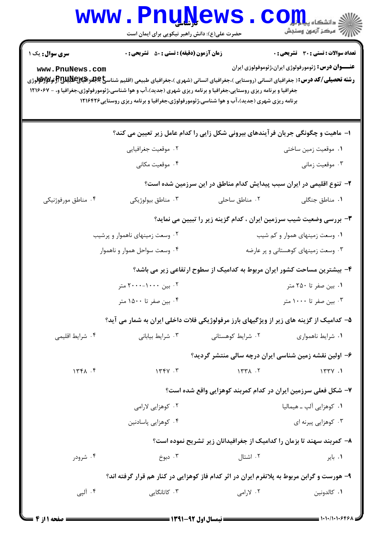|                                                                                            | <b>www.PnuNews</b><br>حضرت علی(ع): دانش راهبر نیکویی برای ایمان است                                                                                                                                                                                                                                                                                                          |                                                                                  | ر آمرڪز آزمون وسنڊش                                        |  |  |
|--------------------------------------------------------------------------------------------|------------------------------------------------------------------------------------------------------------------------------------------------------------------------------------------------------------------------------------------------------------------------------------------------------------------------------------------------------------------------------|----------------------------------------------------------------------------------|------------------------------------------------------------|--|--|
| <b>سری سوال :</b> یک ۱                                                                     | <b>زمان آزمون (دقیقه) : تستی : 50 ٪ تشریحی : 0</b>                                                                                                                                                                                                                                                                                                                           |                                                                                  | <b>تعداد سوالات : تستي : 30 ٪ تشريحي : 0</b>               |  |  |
| www.PnuNews.com                                                                            | <b>رشته تحصیلی/کد درس:</b> ( جغرافیای انسانی (روستایی )،جغرافیای انسانی (شهری )،جغرافیای طبیعی (اقلیم شناس <b>خ پایتوراتیالای این این باز فولاواتوان</b> وژی<br>جغرافیا و برنامه ریزی روستایی،جغرافیا و برنامه ریزی شهری (جدید)،آب و هوا شناسی،ژئومورفولوژی،جغرافیا و، - ۱۲۱۶۰۶۷<br>برنامه ریزی شهری (جدید)،آب و هوا شناسی،ژئومورفولوژی،جغرافیا و برنامه ریزی روستایی۱۲۱۶۴۲۶ |                                                                                  | <b>عنــــوان درس:</b> ژئومورفولوژی ایران،ژئوموفولوزی ایران |  |  |
|                                                                                            |                                                                                                                                                                                                                                                                                                                                                                              | ا– ماهیت و چگونگی جریان فرآیندهای بیرونی شکل زایی را کدام عامل زیر تعیین می کند؟ |                                                            |  |  |
|                                                                                            | ۰۲ موقعیت جغرافیایی                                                                                                                                                                                                                                                                                                                                                          |                                                                                  | ٠١ موقعيت زمين ساختي                                       |  |  |
|                                                                                            | ۰۴ موقعیت مکانی                                                                                                                                                                                                                                                                                                                                                              |                                                                                  | ۰۳ موقعیت زمانی                                            |  |  |
| ۲- تنوع اقلیمی در ایران سبب پیدایش کدام مناطق در این سرزمین شده است؟                       |                                                                                                                                                                                                                                                                                                                                                                              |                                                                                  |                                                            |  |  |
| ۰۴ مناطق مورفوژنیکی                                                                        | ۰۳ مناطق بيولوژيکي                                                                                                                                                                                                                                                                                                                                                           | ۰۲ مناطق ساحلی                                                                   | ٠١. مناطق جنگلي                                            |  |  |
|                                                                                            |                                                                                                                                                                                                                                                                                                                                                                              | ۳- بررسی وضعیت شیب سرزمین ایران ، کدام گزینه زیر را تبیین می نماید؟              |                                                            |  |  |
| ۰۲ وسعت زمینهای ناهموار و پرشیب                                                            |                                                                                                                                                                                                                                                                                                                                                                              |                                                                                  | ۰۱ وسعت زمینهای هموار و کم شیب                             |  |  |
| ۰۴ وسعت سواحل هموار و ناهموار                                                              |                                                                                                                                                                                                                                                                                                                                                                              |                                                                                  | ۰۳ وسعت زمینهای کوهستانی و پر عارضه                        |  |  |
|                                                                                            |                                                                                                                                                                                                                                                                                                                                                                              | ۴- بیشترین مساحت کشور ایران مربوط به کدامیک از سطوح ارتفاعی زیر می باشد؟         |                                                            |  |  |
|                                                                                            | ۰۲ بین ۱۰۰۰-۲۰۰۰ متر                                                                                                                                                                                                                                                                                                                                                         |                                                                                  | ۰۱ بین صفر تا ۲۵۰ متر                                      |  |  |
|                                                                                            | ۰۴ بین صفر تا ۱۵۰۰ متر                                                                                                                                                                                                                                                                                                                                                       |                                                                                  | ۰۳ بین صفر تا ۱۰۰۰ متر                                     |  |  |
|                                                                                            | ۵– کدامیک از گزینه های زیر از ویژگیهای بارز مرفولوژیکی فلات داخلی ایران به شمار می آید؟                                                                                                                                                                                                                                                                                      |                                                                                  |                                                            |  |  |
| ۰۴ شرايط اقليمي                                                                            | ۰۳ شرایط بیابانی                                                                                                                                                                                                                                                                                                                                                             | ۰۲ شرایط کوهستانی                                                                | ۰۱ شرایط ناهمواری                                          |  |  |
|                                                                                            |                                                                                                                                                                                                                                                                                                                                                                              | ۶– اولین نقشه زمین شناسی ایران درچه سالی منتشر گردید؟                            |                                                            |  |  |
| 1561.5                                                                                     | 1774.7                                                                                                                                                                                                                                                                                                                                                                       | 1577                                                                             | 177Y.1                                                     |  |  |
|                                                                                            |                                                                                                                                                                                                                                                                                                                                                                              | ۷– شکل فعلی سرزمین ایران در کدام کمربند کوهزایی واقع شده است؟                    |                                                            |  |  |
|                                                                                            | ۰۲ کوهزایی لارامی                                                                                                                                                                                                                                                                                                                                                            |                                                                                  | ۰۱ کوهزایی آلپ ـ هیمالیا                                   |  |  |
|                                                                                            | ۰۴ کوهزایی پاسادنین                                                                                                                                                                                                                                                                                                                                                          |                                                                                  | ۰۳ کوهزایی پیرنه ای                                        |  |  |
|                                                                                            | ۸– کمربند سهند تا بزمان را کدامیک از جغرافیدانان زیر تشریح نموده است؟                                                                                                                                                                                                                                                                                                        |                                                                                  |                                                            |  |  |
| ۰۴ شرودر                                                                                   | ۰۳ دبوخ                                                                                                                                                                                                                                                                                                                                                                      | ۰۲ اشتال                                                                         | ۰۱ بایر                                                    |  |  |
| ۹- هورست و گرابن مربوط به پلاتفرم ایران در اثر کدام فاز کوهزایی در کنار هم قرار گرفته اند؟ |                                                                                                                                                                                                                                                                                                                                                                              |                                                                                  |                                                            |  |  |
| ۰۴ آلپی                                                                                    | ۰۳ کاتانگایی                                                                                                                                                                                                                                                                                                                                                                 | ۰۲ لارامی                                                                        | ٠١ كالدونين                                                |  |  |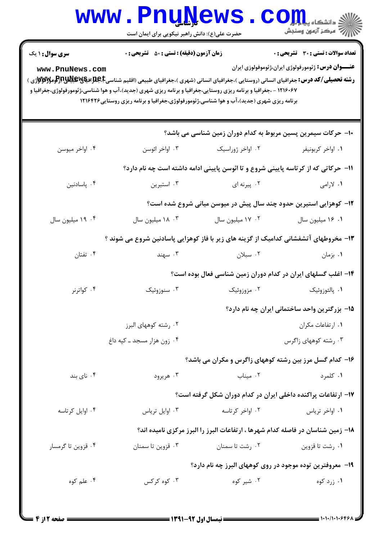|                                                                                                                                                                                                                                                                                                                                                                                                                                                                                                                                                                                                  | <b>www.PnuNews</b><br>حضرت علی(ع): دانش راهبر نیکویی برای ایمان است                  |                                                                                    | الله دانشگاه پیام در استفاده<br>الله عرکز آزمون وسنجش |  |  |  |  |
|--------------------------------------------------------------------------------------------------------------------------------------------------------------------------------------------------------------------------------------------------------------------------------------------------------------------------------------------------------------------------------------------------------------------------------------------------------------------------------------------------------------------------------------------------------------------------------------------------|--------------------------------------------------------------------------------------|------------------------------------------------------------------------------------|-------------------------------------------------------|--|--|--|--|
| <b>زمان آزمون (دقیقه) : تستی : 50 ٪ تشریحی : 0</b><br>تعداد سوالات : تستي : 30 ٪ تشريحي : 0<br><b>سری سوال : ۱ یک</b><br><b>عنــــوان درس:</b> ژئومورفولوژی ایران،ژئوموفولوزی ایران<br>www.PnuNews.com<br><b>رشته تحصیلی/کد درس:</b> جغرافیای انسانی (روستایی )،جغرافیای انسانی (شهری )،جغرافیای طبیعی (اقلیم شناسی <b>E)،بایلا)،بالایلا)،بالایم</b> رالوم <b>ولالاولان</b> ژی )<br>۱۲۱۶۰۶۷ - ،جغرافیا و برنامه ریزی روستایی،جغرافیا و برنامه ریزی شهری (جدید)،آب و هوا شناسی،ژئومورفولوژی،جغرافیا و<br>برنامه ریزی شهری (جدید)،آب و هوا شناسی،ژئومورفولوژی،جغرافیا و برنامه ریزی روستایی۱۲۱۶۴۲۶ |                                                                                      |                                                                                    |                                                       |  |  |  |  |
|                                                                                                                                                                                                                                                                                                                                                                                                                                                                                                                                                                                                  |                                                                                      | ۱۰– حرکات سیمرین پسین مربوط به کدام دوران زمین شناسی می باشد؟                      |                                                       |  |  |  |  |
| ۰۴ اواخر میوسن                                                                                                                                                                                                                                                                                                                                                                                                                                                                                                                                                                                   | ۰۳ اواخر ائوسن                                                                       | ۰۲ اواخر ژوراسیک                                                                   | ۰۱ اواخر کربونیفر                                     |  |  |  |  |
|                                                                                                                                                                                                                                                                                                                                                                                                                                                                                                                                                                                                  |                                                                                      | 11- حرکاتی که از کرتاسه پایینی شروع و تا ائوسن پایینی ادامه داشته است چه نام دارد؟ |                                                       |  |  |  |  |
| ۰۴ پاسادنين                                                                                                                                                                                                                                                                                                                                                                                                                                                                                                                                                                                      | ۰۳ استیرین                                                                           | ۰۲ پیرنه ای                                                                        | ۱. لارامی                                             |  |  |  |  |
|                                                                                                                                                                                                                                                                                                                                                                                                                                                                                                                                                                                                  |                                                                                      | ۱۲- کوهزایی استیرین حدود چند سال پیش در میوسن میانی شروع شده است؟                  |                                                       |  |  |  |  |
| ۰۴ میلیون سال                                                                                                                                                                                                                                                                                                                                                                                                                                                                                                                                                                                    | ۰۳ میلیون سال                                                                        | ۰۲ میلیون سال                                                                      | ٠١ ١۶ ميليون سال                                      |  |  |  |  |
|                                                                                                                                                                                                                                                                                                                                                                                                                                                                                                                                                                                                  | ۱۳- مخروطهای آتشفشانی کدامیک از گزینه های زیر با فاز کوهزایی پاسادنین شروع می شوند ؟ |                                                                                    |                                                       |  |  |  |  |
| ۰۴ تفتان                                                                                                                                                                                                                                                                                                                                                                                                                                                                                                                                                                                         | ۰۳ سهند                                                                              | ۰۲ سبلان                                                                           | ۰۱ بزمان                                              |  |  |  |  |
|                                                                                                                                                                                                                                                                                                                                                                                                                                                                                                                                                                                                  |                                                                                      | ۱۴- اغلب گسلهای ایران در کدام دوران زمین شناسی فعال بوده است؟                      |                                                       |  |  |  |  |
| ۰۴ کواترنر                                                                                                                                                                                                                                                                                                                                                                                                                                                                                                                                                                                       | ۰۳ سنوزوئیک                                                                          | ۰۲ مزوزوئیک                                                                        | ٠١. پالئوزوئيک                                        |  |  |  |  |
|                                                                                                                                                                                                                                                                                                                                                                                                                                                                                                                                                                                                  | 1۵– بزرگترین واحد ساختمانی ایران چه نام دارد؟                                        |                                                                                    |                                                       |  |  |  |  |
|                                                                                                                                                                                                                                                                                                                                                                                                                                                                                                                                                                                                  | ۰۲ رشته کوههای البرز                                                                 |                                                                                    | ۰۱ ارتفاعات مکران                                     |  |  |  |  |
|                                                                                                                                                                                                                                                                                                                                                                                                                                                                                                                                                                                                  | ۰۴ زون هزار مسجد ــ کپه داغ                                                          |                                                                                    | ۰۳ رشته کوههای زاگرس                                  |  |  |  |  |
|                                                                                                                                                                                                                                                                                                                                                                                                                                                                                                                                                                                                  |                                                                                      | ۱۶– کدام گسل مرز بین رشته کوههای زاگرس و مکران می باشد؟                            |                                                       |  |  |  |  |
| ۰۴ نای بند                                                                                                                                                                                                                                                                                                                                                                                                                                                                                                                                                                                       | ۰۳ هريرود                                                                            | ۰۲ میناب                                                                           | ۰۱ کلمرد                                              |  |  |  |  |
|                                                                                                                                                                                                                                                                                                                                                                                                                                                                                                                                                                                                  |                                                                                      | ۱۷– ارتفاعات پراکنده داخلی ایران در کدام دوران شکل گرفته است؟                      |                                                       |  |  |  |  |
| ۰۴ اوایل کرتاسه                                                                                                                                                                                                                                                                                                                                                                                                                                                                                                                                                                                  | ۰۳ اوایل تریاس                                                                       | ۰۲ اواخر کرتاسه                                                                    | ۰۱ اواخر ترياس                                        |  |  |  |  |
|                                                                                                                                                                                                                                                                                                                                                                                                                                                                                                                                                                                                  |                                                                                      | ۱۸- زمین شناسان در فاصله کدام شهرها ، ارتفاعات البرز را البرز مرکزی نامیده اند؟    |                                                       |  |  |  |  |
| ۰۴ قزوین تا گرمسار                                                                                                                                                                                                                                                                                                                                                                                                                                                                                                                                                                               | ۰۳ قزوین تا سمنان                                                                    | ۰۲ رشت تا سمنان                                                                    | ۰۱ رشت تا قزوين                                       |  |  |  |  |
|                                                                                                                                                                                                                                                                                                                                                                                                                                                                                                                                                                                                  |                                                                                      | ۱۹- معروفترین توده موجود در روی کوههای البرز چه نام دارد؟                          |                                                       |  |  |  |  |
| ۰۴ علم کوه                                                                                                                                                                                                                                                                                                                                                                                                                                                                                                                                                                                       | ۰۳ کوه کرکس                                                                          | ۰۲ شیر کوه                                                                         | ۰۱ زرد کوه                                            |  |  |  |  |
|                                                                                                                                                                                                                                                                                                                                                                                                                                                                                                                                                                                                  |                                                                                      |                                                                                    |                                                       |  |  |  |  |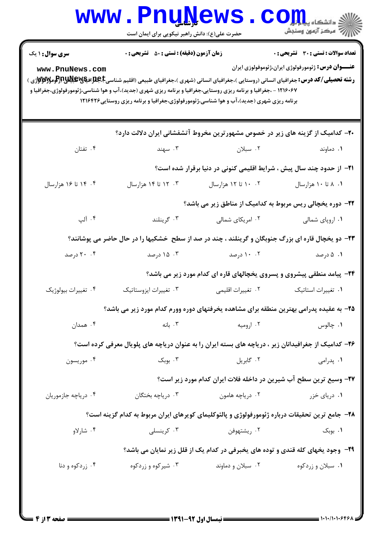|                                                                                                                                                                                                 | www.PnuNews<br>حضرت علی(ع): دانش راهبر نیکویی برای ایمان است                 |                                                                                                                                                                                                              | الله دانشگاه پیام در استفاده<br>الله عرکز آنههن وسنجش                                               |  |  |  |  |
|-------------------------------------------------------------------------------------------------------------------------------------------------------------------------------------------------|------------------------------------------------------------------------------|--------------------------------------------------------------------------------------------------------------------------------------------------------------------------------------------------------------|-----------------------------------------------------------------------------------------------------|--|--|--|--|
| <b>سری سوال : ۱ یک</b><br>www.PnuNews.com<br><b>رشته تحصیلی/کد درس:</b> جغرافیای انسانی (روستایی )،جغرافیای انسانی (شهری )،جغرافیای طبیعی (اقلیم شناسی <b>E،B؛Eپیچاپلاپاتر:تومولالاولاز</b> ی ) | <b>زمان آزمون (دقیقه) : تستی : 50 ٪ تشریحی : 0</b>                           | ۱۲۱۶۰۶۷ - ،جغرافیا و برنامه ریزی روستایی،جغرافیا و برنامه ریزی شهری (جدید)،آب و هوا شناسی،ژئومورفولوژی،جغرافیا و<br>برنامه ریزی شهری (جدید)،آب و هوا شناسی،ژئومورفولوژی،جغرافیا و برنامه ریزی روستایی۱۲۱۶۴۲۶ | تعداد سوالات : تستي : 30 ٪ تشريحي : 0<br><b>عنــــوان درس:</b> ژئومورفولوژی ایران،ژئوموفولوزی ایران |  |  |  |  |
|                                                                                                                                                                                                 |                                                                              | ۲۰- کدامیک از گزینه های زیر در خصوص مشهورترین مخروط آتشفشانی ایران دلالت دارد؟                                                                                                                               |                                                                                                     |  |  |  |  |
| ۰۴ تفتان                                                                                                                                                                                        | ۰۳ سهند                                                                      | ۰۲ سبلان                                                                                                                                                                                                     | ٠١ دماوند                                                                                           |  |  |  |  |
|                                                                                                                                                                                                 | <b>۲۱</b> - از حدود چند سال پیش ، شرایط اقلیمی کنونی در دنیا برقرار شده است؟ |                                                                                                                                                                                                              |                                                                                                     |  |  |  |  |
| ۰۴ تا ۱۶ هزارسال                                                                                                                                                                                | ۰۳ تا ۱۴ هزارسال                                                             | ۰۲ ۱۰ تا ۱۲ هزارسال                                                                                                                                                                                          | ۰۱ ۸ تا ۱۰ هزارسال                                                                                  |  |  |  |  |
|                                                                                                                                                                                                 | ۲۲- دوره یخچالی ریس مربوط به کدامیک از مناطق زیر می باشد؟                    |                                                                                                                                                                                                              |                                                                                                     |  |  |  |  |
| ۰۴ آلپ                                                                                                                                                                                          | ۰۳ گرينلند                                                                   | ۰۲ امریکای شمالی                                                                                                                                                                                             | ۰۱ اروپای شمالی                                                                                     |  |  |  |  |
|                                                                                                                                                                                                 |                                                                              | ۲۳- دو یخچال قاره ای بزرگ جنوبگان و گرینلند ، چند در صد از سطح خشکیها را در حال حاضر می پوشانند؟                                                                                                             |                                                                                                     |  |  |  |  |
| ۰۴ درصد                                                                                                                                                                                         | ۰۳ درصد                                                                      | ۰۰ ۱۰ درصد                                                                                                                                                                                                   | ۰۱ ۵ درصد                                                                                           |  |  |  |  |
|                                                                                                                                                                                                 |                                                                              | <b>۲۴</b> - پیامد منطقی پیشروی و پسروی یخچالهای قاره ای کدام مورد زیر می باشد؟                                                                                                                               |                                                                                                     |  |  |  |  |
| ۰۴ تغییرات بیولوژیک                                                                                                                                                                             | ۰۳ تغییرات ایزوستاتیک                                                        | ٠٢ تغييرات اقليمي                                                                                                                                                                                            | ٠١ تغييرات استاتيك                                                                                  |  |  |  |  |
|                                                                                                                                                                                                 |                                                                              | ۲۵– به عقیده پدرامی بهترین منطقه برای مشاهده یخرفتهای دوره وورم کدام مورد زیر می باشد؟                                                                                                                       |                                                                                                     |  |  |  |  |
| ۰۴ همدان                                                                                                                                                                                        | ۰۳ بانه                                                                      | ۰۲ ارومیه                                                                                                                                                                                                    | ۰۱ چالوس                                                                                            |  |  |  |  |
|                                                                                                                                                                                                 |                                                                              | ۲۶– کدامیک از جغرافیدانان زیر ، دریاچه های بسته ایران را به عنوان دریاچه های پلویال معرفی کرده است؟                                                                                                          |                                                                                                     |  |  |  |  |
| ۰۴ موریسون                                                                                                                                                                                      | ۰۳ بوبک                                                                      | ۰۲ گابريل پيښ                                                                                                                                                                                                | ۰۱ پدرامی                                                                                           |  |  |  |  |
|                                                                                                                                                                                                 |                                                                              | ۲۷- وسیع ترین سطح آب شیرین در داخله فلات ایران کدام مورد زیر است؟                                                                                                                                            |                                                                                                     |  |  |  |  |
| ۰۴ دریاچه جازموریان                                                                                                                                                                             | ۰۳ دریاچه بختگان                                                             | ۰۲ دریاچه هامون                                                                                                                                                                                              | ۰۱ دریای خزر                                                                                        |  |  |  |  |
|                                                                                                                                                                                                 |                                                                              | ۲۸- جامع ترین تحقیقات درباره ژئومورفولوژی و پالئوکلیمای کویرهای ایران مربوط به کدام گزینه است؟                                                                                                               |                                                                                                     |  |  |  |  |
| ۰۴ شارلاو                                                                                                                                                                                       | ۰۳ کرینسلی                                                                   | ۰۲ ريشتهوفن                                                                                                                                                                                                  | ۰۱ بوبک                                                                                             |  |  |  |  |
| ۲۹- وجود یخهای کله قندی و توده های یخبرفی در کدام یک از قلل زیر نمایان می باشد؟                                                                                                                 |                                                                              |                                                                                                                                                                                                              |                                                                                                     |  |  |  |  |
| ۰۴ زردکوه و دنا                                                                                                                                                                                 | ۰۳ شیرکوه و زردکوه                                                           | ۰۲ سبلان و دماوند                                                                                                                                                                                            | ۰۱ سبلان و زردکوه                                                                                   |  |  |  |  |
|                                                                                                                                                                                                 |                                                                              |                                                                                                                                                                                                              |                                                                                                     |  |  |  |  |

 $: 1.1.11.1.945$